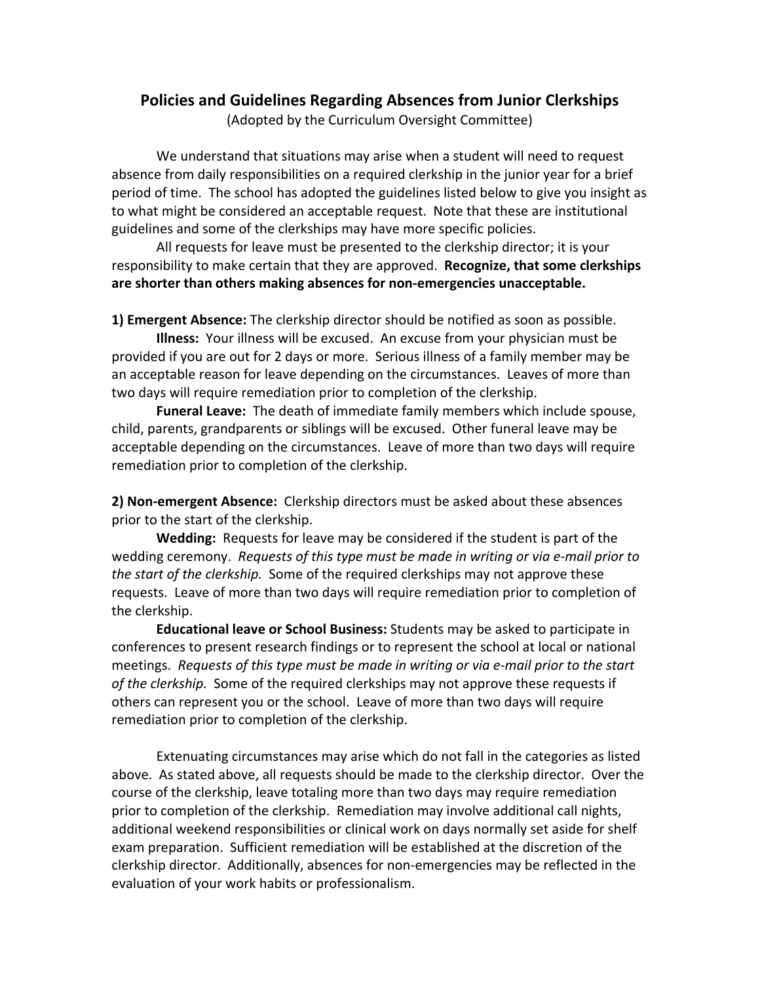## **Policies and Guidelines Regarding Absences from Junior Clerkships**

(Adopted by the Curriculum Oversight Committee)

We understand that situations may arise when a student will need to request absence from daily responsibilities on a required clerkship in the junior year for a brief period of time. The school has adopted the guidelines listed below to give you insight as to what might be considered an acceptable request. Note that these are institutional guidelines and some of the clerkships may have more specific policies.

All requests for leave must be presented to the clerkship director; it is your responsibility to make certain that they are approved. **Recognize, that some clerkships are shorter than others making absences for non‐emergencies unacceptable.**

**1) Emergent Absence:** The clerkship director should be notified as soon as possible.

**Illness:** Your illness will be excused. An excuse from your physician must be provided if you are out for 2 days or more. Serious illness of a family member may be an acceptable reason for leave depending on the circumstances. Leaves of more than two days will require remediation prior to completion of the clerkship.

**Funeral Leave:** The death of immediate family members which include spouse, child, parents, grandparents or siblings will be excused. Other funeral leave may be acceptable depending on the circumstances. Leave of more than two days will require remediation prior to completion of the clerkship.

**2) Non‐emergent Absence:** Clerkship directors must be asked about these absences prior to the start of the clerkship.

**Wedding:** Requests for leave may be considered if the student is part of the wedding ceremony. *Requests of this type must be made in writing or via e‐mail prior to the start of the clerkship.* Some of the required clerkships may not approve these requests. Leave of more than two days will require remediation prior to completion of the clerkship.

**Educational leave or School Business:** Students may be asked to participate in conferences to present research findings or to represent the school at local or national meetings. *Requests of this type must be made in writing or via e‐mail prior to the start of the clerkship.* Some of the required clerkships may not approve these requests if others can represent you or the school. Leave of more than two days will require remediation prior to completion of the clerkship.

Extenuating circumstances may arise which do not fall in the categories as listed above. As stated above, all requests should be made to the clerkship director. Over the course of the clerkship, leave totaling more than two days may require remediation prior to completion of the clerkship. Remediation may involve additional call nights, additional weekend responsibilities or clinical work on days normally set aside for shelf exam preparation. Sufficient remediation will be established at the discretion of the clerkship director. Additionally, absences for non-emergencies may be reflected in the evaluation of your work habits or professionalism.